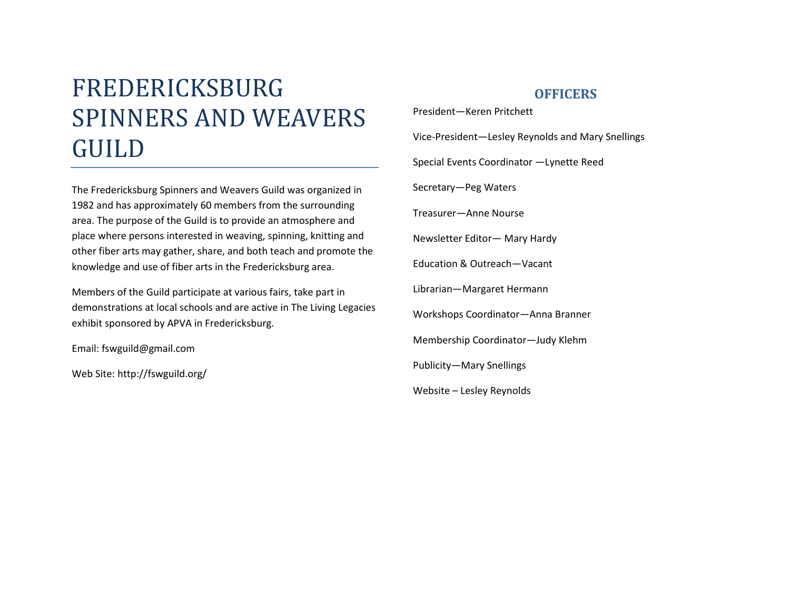# FREDERICKSBURG SPINNERS AND WEAVERS GUILD

The Fredericksburg Spinners and Weavers Guild was organized in 1982 and has approximately 60 members from the surrounding area. The purpose of the Guild is to provide an atmosphere and place where persons interested in weaving, spinning, knitting and other fiber arts may gather, share, and both teach and promote the knowledge and use of fiber arts in the Fredericksburg area.

Members of the Guild participate at various fairs, take part in demonstrations at local schools and are active in The Living Legacies exhibit sponsored by APVA in Fredericksburg.

Email: fswguild@gmail.com

Web Site: http://fswguild.org/

## **OFFICERS**

President—Keren Pritchett Vice-President—Lesley Reynolds and Mary Snellings Special Events Coordinator —Lynette Reed Secretary—Peg Waters Treasurer—Anne Nourse Newsletter Editor— Mary Hardy Education & Outreach—Vacant Librarian—Margaret Hermann Workshops Coordinator—Anna Branner Membership Coordinator—Judy Klehm Publicity—Mary Snellings Website – Lesley Reynolds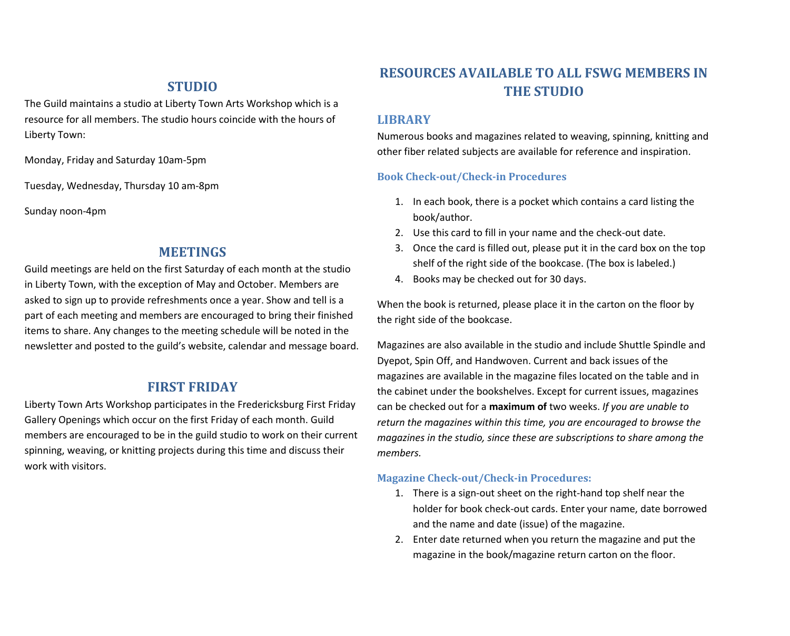#### **STUDIO**

The Guild maintains a studio at Liberty Town Arts Workshop which is a resource for all members. The studio hours coincide with the hours of Liberty Town:

Monday, Friday and Saturday 10am-5pm

Tuesday, Wednesday, Thursday 10 am-8pm

Sunday noon-4pm

#### **MEETINGS**

Guild meetings are held on the first Saturday of each month at the studio in Liberty Town, with the exception of May and October. Members are asked to sign up to provide refreshments once a year. Show and tell is a part of each meeting and members are encouraged to bring their finished items to share. Any changes to the meeting schedule will be noted in the newsletter and posted to the guild's website, calendar and message board.

### **FIRST FRIDAY**

Liberty Town Arts Workshop participates in the Fredericksburg First Friday Gallery Openings which occur on the first Friday of each month. Guild members are encouraged to be in the guild studio to work on their current spinning, weaving, or knitting projects during this time and discuss their work with visitors.

# **RESOURCES AVAILABLE TO ALL FSWG MEMBERS IN THE STUDIO**

#### **LIBRARY**

Numerous books and magazines related to weaving, spinning, knitting and other fiber related subjects are available for reference and inspiration.

#### **Book Check-out/Check-in Procedures**

- 1. In each book, there is a pocket which contains a card listing the book/author.
- 2. Use this card to fill in your name and the check-out date.
- 3. Once the card is filled out, please put it in the card box on the top shelf of the right side of the bookcase. (The box is labeled.)
- 4. Books may be checked out for 30 days.

When the book is returned, please place it in the carton on the floor by the right side of the bookcase.

Magazines are also available in the studio and include Shuttle Spindle and Dyepot, Spin Off, and Handwoven. Current and back issues of the magazines are available in the magazine files located on the table and in the cabinet under the bookshelves. Except for current issues, magazines can be checked out for a **maximum of** two weeks. *If you are unable to return the magazines within this time, you are encouraged to browse the magazines in the studio, since these are subscriptions to share among the members.*

#### **Magazine Check-out/Check-in Procedures:**

- 1. There is a sign-out sheet on the right-hand top shelf near the holder for book check-out cards. Enter your name, date borrowed and the name and date (issue) of the magazine.
- 2. Enter date returned when you return the magazine and put the magazine in the book/magazine return carton on the floor.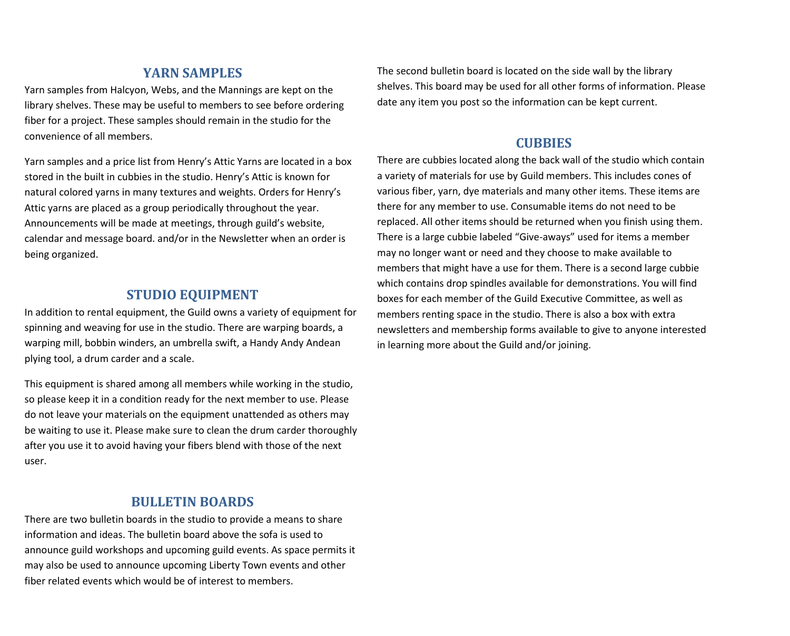# **YARN SAMPLES**

Yarn samples from Halcyon, Webs, and the Mannings are kept on the library shelves. These may be useful to members to see before ordering fiber for a project. These samples should remain in the studio for the convenience of all members.

Yarn samples and a price list from Henry's Attic Yarns are located in a box stored in the built in cubbies in the studio. Henry's Attic is known for natural colored yarns in many textures and weights. Orders for Henry's Attic yarns are placed as a group periodically throughout the year. Announcements will be made at meetings, through guild's website, calendar and message board. and/or in the Newsletter when an order is being organized.

## **STUDIO EQUIPMENT**

In addition to rental equipment, the Guild owns a variety of equipment for spinning and weaving for use in the studio. There are warping boards, a warping mill, bobbin winders, an umbrella swift, a Handy Andy Andean plying tool, a drum carder and a scale.

This equipment is shared among all members while working in the studio, so please keep it in a condition ready for the next member to use. Please do not leave your materials on the equipment unattended as others may be waiting to use it. Please make sure to clean the drum carder thoroughly after you use it to avoid having your fibers blend with those of the next user.

#### **BULLETIN BOARDS**

There are two bulletin boards in the studio to provide a means to share information and ideas. The bulletin board above the sofa is used to announce guild workshops and upcoming guild events. As space permits it may also be used to announce upcoming Liberty Town events and other fiber related events which would be of interest to members.

The second bulletin board is located on the side wall by the library shelves. This board may be used for all other forms of information. Please date any item you post so the information can be kept current.

## **CUBBIES**

There are cubbies located along the back wall of the studio which contain a variety of materials for use by Guild members. This includes cones of various fiber, yarn, dye materials and many other items. These items are there for any member to use. Consumable items do not need to be replaced. All other items should be returned when you finish using them. There is a large cubbie labeled "Give-aways" used for items a member may no longer want or need and they choose to make available to members that might have a use for them. There is a second large cubbie which contains drop spindles available for demonstrations. You will find boxes for each member of the Guild Executive Committee, as well as members renting space in the studio. There is also a box with extra newsletters and membership forms available to give to anyone interested in learning more about the Guild and/or joining.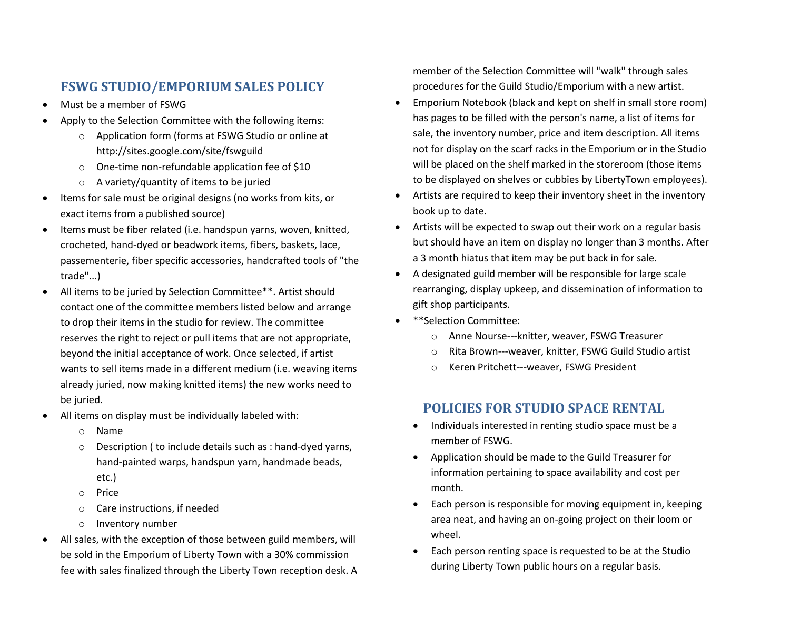# **FSWG STUDIO/EMPORIUM SALES POLICY**

- Must be a member of FSWG
- Apply to the Selection Committee with the following items:
	- o Application form (forms at FSWG Studio or online at http://sites.google.com/site/fswguild
	- o One-time non-refundable application fee of \$10
	- o A variety/quantity of items to be juried
- Items for sale must be original designs (no works from kits, or exact items from a published source)
- Items must be fiber related (i.e. handspun yarns, woven, knitted, crocheted, hand-dyed or beadwork items, fibers, baskets, lace, passementerie, fiber specific accessories, handcrafted tools of "the trade"...)
- All items to be juried by Selection Committee\*\*. Artist should contact one of the committee members listed below and arrange to drop their items in the studio for review. The committee reserves the right to reject or pull items that are not appropriate, beyond the initial acceptance of work. Once selected, if artist wants to sell items made in a different medium (i.e. weaving items already juried, now making knitted items) the new works need to be juried.
- All items on display must be individually labeled with:
	- o Name
	- o Description ( to include details such as : hand-dyed yarns, hand-painted warps, handspun yarn, handmade beads, etc.)
		-
	- o Price
	- o Care instructions, if needed
	- o Inventory number
- All sales, with the exception of those between guild members, will be sold in the Emporium of Liberty Town with a 30% commission fee with sales finalized through the Liberty Town reception desk. A

member of the Selection Committee will "walk" through sales procedures for the Guild Studio/Emporium with a new artist.

- Emporium Notebook (black and kept on shelf in small store room) has pages to be filled with the person's name, a list of items for sale, the inventory number, price and item description. All items not for display on the scarf racks in the Emporium or in the Studio will be placed on the shelf marked in the storeroom (those items to be displayed on shelves or cubbies by LibertyTown employees).
- Artists are required to keep their inventory sheet in the inventory book up to date.
- Artists will be expected to swap out their work on a regular basis but should have an item on display no longer than 3 months. After a 3 month hiatus that item may be put back in for sale.
- A designated guild member will be responsible for large scale rearranging, display upkeep, and dissemination of information to gift shop participants.
- \*\*Selection Committee:
	- o Anne Nourse---knitter, weaver, FSWG Treasurer
	- o Rita Brown---weaver, knitter, FSWG Guild Studio artist
	- o Keren Pritchett---weaver, FSWG President

# **POLICIES FOR STUDIO SPACE RENTAL**

- Individuals interested in renting studio space must be a member of FSWG.
- Application should be made to the Guild Treasurer for information pertaining to space availability and cost per month.
- Each person is responsible for moving equipment in, keeping area neat, and having an on-going project on their loom or wheel.
- Each person renting space is requested to be at the Studio during Liberty Town public hours on a regular basis.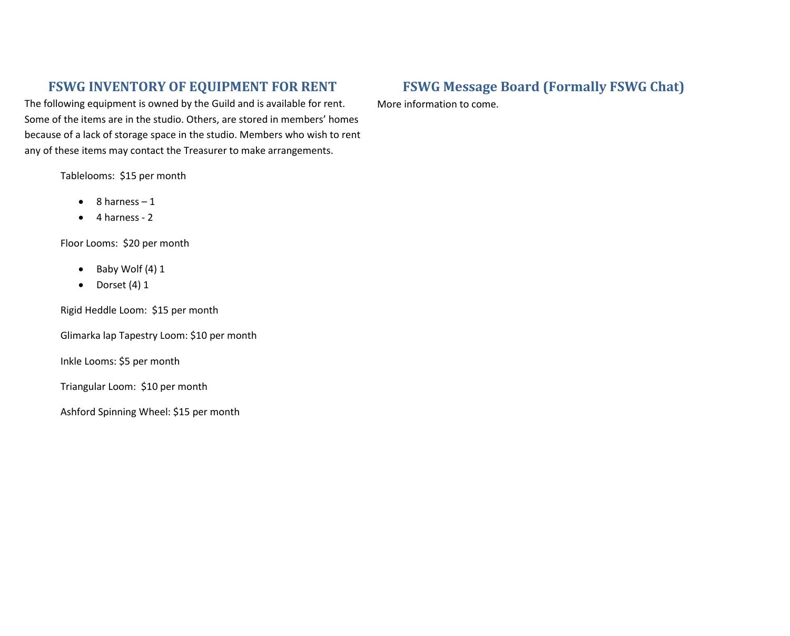# **FSWG INVENTORY OF EQUIPMENT FOR RENT**

The following equipment is owned by the Guild and is available for rent. Some of the items are in the studio. Others, are stored in members' homes because of a lack of storage space in the studio. Members who wish to rent any of these items may contact the Treasurer to make arrangements.

Tablelooms: \$15 per month

- $\bullet$  8 harness 1
- $\bullet$  4 harness 2

Floor Looms: \$20 per month

- $\bullet$  Baby Wolf (4) 1
- $\bullet$  Dorset (4) 1

Rigid Heddle Loom: \$15 per month

Glimarka lap Tapestry Loom: \$10 per month

Inkle Looms: \$5 per month

Triangular Loom: \$10 per month

Ashford Spinning Wheel: \$15 per month

# **FSWG Message Board (Formally FSWG Chat)**

More information to come.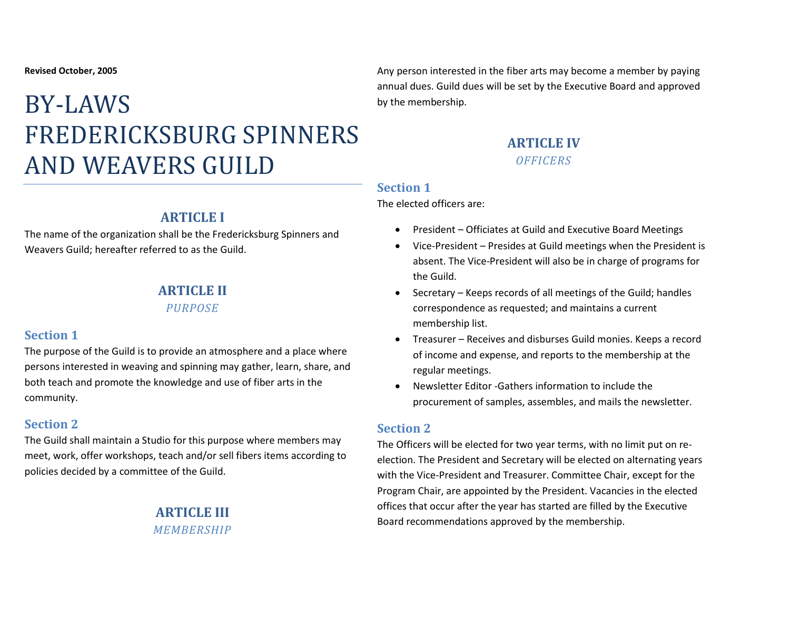# BY-LAWS FREDERICKSBURG SPINNERS AND WEAVERS GUILD

# **ARTICLE I**

The name of the organization shall be the Fredericksburg Spinners and Weavers Guild; hereafter referred to as the Guild.

# **ARTICLE II**

*PURPOSE*

## **Section 1**

The purpose of the Guild is to provide an atmosphere and a place where persons interested in weaving and spinning may gather, learn, share, and both teach and promote the knowledge and use of fiber arts in the community.

## **Section 2**

The Guild shall maintain a Studio for this purpose where members may meet, work, offer workshops, teach and/or sell fibers items according to policies decided by a committee of the Guild.

# **ARTICLE III** *MEMBERSHIP*

Any person interested in the fiber arts may become a member by paying annual dues. Guild dues will be set by the Executive Board and approved by the membership.

# **ARTICLE IV** *OFFICERS*

#### **Section 1**

The elected officers are:

- President Officiates at Guild and Executive Board Meetings
- Vice-President Presides at Guild meetings when the President is absent. The Vice-President will also be in charge of programs for the Guild.
- Secretary Keeps records of all meetings of the Guild; handles correspondence as requested; and maintains a current membership list.
- Treasurer Receives and disburses Guild monies. Keeps a record of income and expense, and reports to the membership at the regular meetings.
- Newsletter Editor -Gathers information to include the procurement of samples, assembles, and mails the newsletter.

## **Section 2**

The Officers will be elected for two year terms, with no limit put on reelection. The President and Secretary will be elected on alternating years with the Vice-President and Treasurer. Committee Chair, except for the Program Chair, are appointed by the President. Vacancies in the elected offices that occur after the year has started are filled by the Executive Board recommendations approved by the membership.